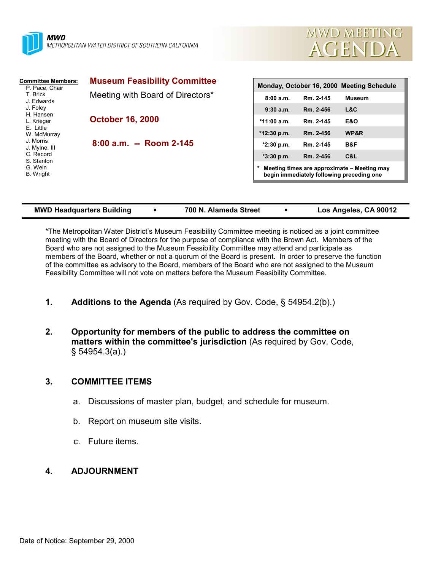



| <b>Committee Members:</b>                                                                                                                                                                    | <b>Museum Feasibility Committee</b> | Monday, October 16, 2000 Meeting Schedule                                                |           |                |  |
|----------------------------------------------------------------------------------------------------------------------------------------------------------------------------------------------|-------------------------------------|------------------------------------------------------------------------------------------|-----------|----------------|--|
| P. Pace, Chair<br>T. Brick<br>J. Edwards<br>J. Foley<br>H. Hansen<br>L. Krieger<br>E. Little<br>W. McMurray<br>J. Morris<br>J. Mylne, III<br>C. Record<br>S. Stanton<br>G. Wein<br>B. Wright | Meeting with Board of Directors*    | 8:00a.m.                                                                                 | Rm. 2-145 | <b>Museum</b>  |  |
|                                                                                                                                                                                              | <b>October 16, 2000</b>             | 9:30a.m.                                                                                 | Rm. 2-456 | L&C            |  |
|                                                                                                                                                                                              |                                     | $*11:00$ a.m.                                                                            | Rm. 2-145 | <b>E&amp;O</b> |  |
|                                                                                                                                                                                              |                                     | $*12:30$ p.m.                                                                            | Rm. 2-456 | WP&R           |  |
|                                                                                                                                                                                              | 8:00 a.m. -- Room 2-145             | $*2:30$ p.m.                                                                             | Rm. 2-145 | B&F            |  |
|                                                                                                                                                                                              |                                     | $*3:30$ p.m.                                                                             | Rm. 2-456 | C&L            |  |
|                                                                                                                                                                                              |                                     | Meeting times are approximate - Meeting may<br>begin immediately following preceding one |           |                |  |
|                                                                                                                                                                                              |                                     |                                                                                          |           |                |  |

| <b>MWD Headquarters Building</b> | 700 N. Alameda Street |  | Los Angeles, CA 90012 |
|----------------------------------|-----------------------|--|-----------------------|
|----------------------------------|-----------------------|--|-----------------------|

\*The Metropolitan Water District's Museum Feasibility Committee meeting is noticed as a joint committee meeting with the Board of Directors for the purpose of compliance with the Brown Act. Members of the Board who are not assigned to the Museum Feasibility Committee may attend and participate as members of the Board, whether or not a quorum of the Board is present. In order to preserve the function of the committee as advisory to the Board, members of the Board who are not assigned to the Museum Feasibility Committee will not vote on matters before the Museum Feasibility Committee.

- **1. Additions to the Agenda** (As required by Gov. Code, § 54954.2(b).)
- **2. Opportunity for members of the public to address the committee on matters within the committee's jurisdiction** (As required by Gov. Code, § 54954.3(a).)

## **3. COMMITTEE ITEMS**

- a. Discussions of master plan, budget, and schedule for museum.
- b. Report on museum site visits.
- c. Future items.

## **4. ADJOURNMENT**